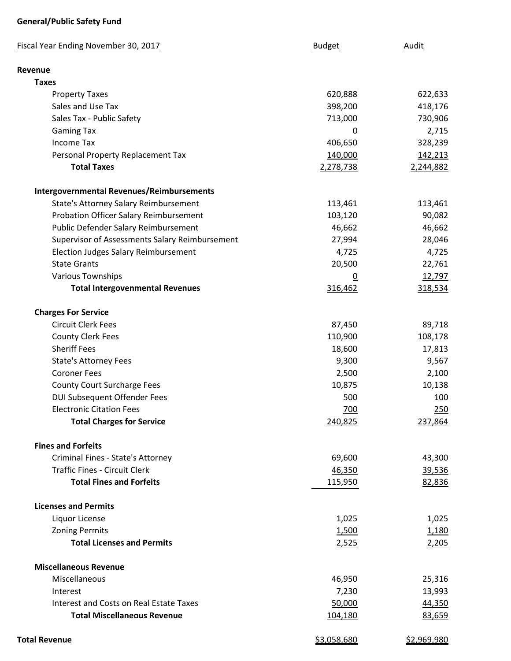## **General/Public Safety Fund**

| <b>Fiscal Year Ending November 30, 2017</b>      | <b>Budget</b>      | Audit              |
|--------------------------------------------------|--------------------|--------------------|
| <b>Revenue</b>                                   |                    |                    |
| <b>Taxes</b>                                     |                    |                    |
| <b>Property Taxes</b>                            | 620,888            | 622,633            |
| Sales and Use Tax                                | 398,200            | 418,176            |
| Sales Tax - Public Safety                        | 713,000            | 730,906            |
| <b>Gaming Tax</b>                                | 0                  | 2,715              |
| <b>Income Tax</b>                                | 406,650            | 328,239            |
| Personal Property Replacement Tax                | 140,000            | 142,213            |
| <b>Total Taxes</b>                               | 2,278,738          | 2,244,882          |
| <b>Intergovernmental Revenues/Reimbursements</b> |                    |                    |
| <b>State's Attorney Salary Reimbursement</b>     | 113,461            | 113,461            |
| <b>Probation Officer Salary Reimbursement</b>    | 103,120            | 90,082             |
| Public Defender Salary Reimbursement             | 46,662             | 46,662             |
| Supervisor of Assessments Salary Reimbursement   | 27,994             | 28,046             |
| <b>Election Judges Salary Reimbursement</b>      | 4,725              | 4,725              |
| <b>State Grants</b>                              | 20,500             | 22,761             |
| <b>Various Townships</b>                         | $\overline{0}$     | 12,797             |
| <b>Total Intergovenmental Revenues</b>           | 316,462            | 318,534            |
| <b>Charges For Service</b>                       |                    |                    |
| <b>Circuit Clerk Fees</b>                        | 87,450             | 89,718             |
| <b>County Clerk Fees</b>                         | 110,900            | 108,178            |
| <b>Sheriff Fees</b>                              | 18,600             | 17,813             |
| <b>State's Attorney Fees</b>                     | 9,300              | 9,567              |
| <b>Coroner Fees</b>                              | 2,500              | 2,100              |
| <b>County Court Surcharge Fees</b>               | 10,875             | 10,138             |
| <b>DUI Subsequent Offender Fees</b>              | 500                | 100                |
| <b>Electronic Citation Fees</b>                  | 700                | 250                |
| <b>Total Charges for Service</b>                 | 240,825            | 237,864            |
| <b>Fines and Forfeits</b>                        |                    |                    |
| Criminal Fines - State's Attorney                | 69,600             | 43,300             |
| <b>Traffic Fines - Circuit Clerk</b>             | 46,350             | 39,536             |
| <b>Total Fines and Forfeits</b>                  | 115,950            | 82,836             |
| <b>Licenses and Permits</b>                      |                    |                    |
| Liquor License                                   | 1,025              | 1,025              |
| <b>Zoning Permits</b>                            | 1,500              | 1,180              |
| <b>Total Licenses and Permits</b>                | 2,525              | 2,205              |
| <b>Miscellaneous Revenue</b>                     |                    |                    |
| Miscellaneous                                    | 46,950             | 25,316             |
| Interest                                         | 7,230              | 13,993             |
| Interest and Costs on Real Estate Taxes          | 50,000             | 44,350             |
| <b>Total Miscellaneous Revenue</b>               | 104,180            | 83,659             |
| <b>Total Revenue</b>                             | <u>\$3,058,680</u> | <u>\$2,969,980</u> |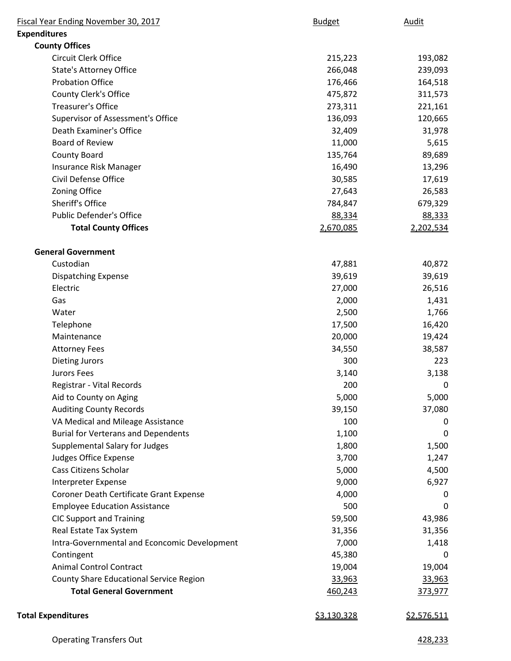| Fiscal Year Ending November 30, 2017         | <b>Budget</b>      | Audit       |
|----------------------------------------------|--------------------|-------------|
| <b>Expenditures</b>                          |                    |             |
| <b>County Offices</b>                        |                    |             |
| Circuit Clerk Office                         | 215,223            | 193,082     |
| <b>State's Attorney Office</b>               | 266,048            | 239,093     |
| <b>Probation Office</b>                      | 176,466            | 164,518     |
| County Clerk's Office                        | 475,872            | 311,573     |
| <b>Treasurer's Office</b>                    | 273,311            | 221,161     |
| Supervisor of Assessment's Office            | 136,093            | 120,665     |
| Death Examiner's Office                      | 32,409             | 31,978      |
| <b>Board of Review</b>                       | 11,000             | 5,615       |
| <b>County Board</b>                          | 135,764            | 89,689      |
| Insurance Risk Manager                       | 16,490             | 13,296      |
| Civil Defense Office                         | 30,585             | 17,619      |
| Zoning Office                                | 27,643             | 26,583      |
| Sheriff's Office                             | 784,847            | 679,329     |
| <b>Public Defender's Office</b>              | 88,334             | 88,333      |
| <b>Total County Offices</b>                  | 2,670,085          | 2,202,534   |
| <b>General Government</b>                    |                    |             |
| Custodian                                    | 47,881             | 40,872      |
| <b>Dispatching Expense</b>                   | 39,619             | 39,619      |
| Electric                                     | 27,000             | 26,516      |
| Gas                                          | 2,000              | 1,431       |
| Water                                        | 2,500              | 1,766       |
| Telephone                                    | 17,500             | 16,420      |
| Maintenance                                  | 20,000             | 19,424      |
| <b>Attorney Fees</b>                         | 34,550             | 38,587      |
| <b>Dieting Jurors</b>                        | 300                | 223         |
| <b>Jurors Fees</b>                           | 3,140              | 3,138       |
| Registrar - Vital Records                    | 200                | 0           |
| Aid to County on Aging                       | 5,000              | 5,000       |
| <b>Auditing County Records</b>               | 39,150             | 37,080      |
| VA Medical and Mileage Assistance            | 100                | 0           |
| <b>Burial for Verterans and Dependents</b>   | 1,100              | 0           |
| <b>Supplemental Salary for Judges</b>        | 1,800              | 1,500       |
| <b>Judges Office Expense</b>                 | 3,700              | 1,247       |
| Cass Citizens Scholar                        | 5,000              | 4,500       |
| Interpreter Expense                          | 9,000              | 6,927       |
| Coroner Death Certificate Grant Expense      | 4,000              | 0           |
| <b>Employee Education Assistance</b>         | 500                | 0           |
| <b>CIC Support and Training</b>              | 59,500             | 43,986      |
| Real Estate Tax System                       | 31,356             | 31,356      |
| Intra-Governmental and Econcomic Development | 7,000              | 1,418       |
| Contingent                                   | 45,380             | 0           |
| <b>Animal Control Contract</b>               | 19,004             | 19,004      |
| County Share Educational Service Region      | 33,963             | 33,963      |
| <b>Total General Government</b>              | 460,243            | 373,977     |
| <b>Total Expenditures</b>                    | <u>\$3,130,328</u> | \$2,576,511 |
|                                              |                    |             |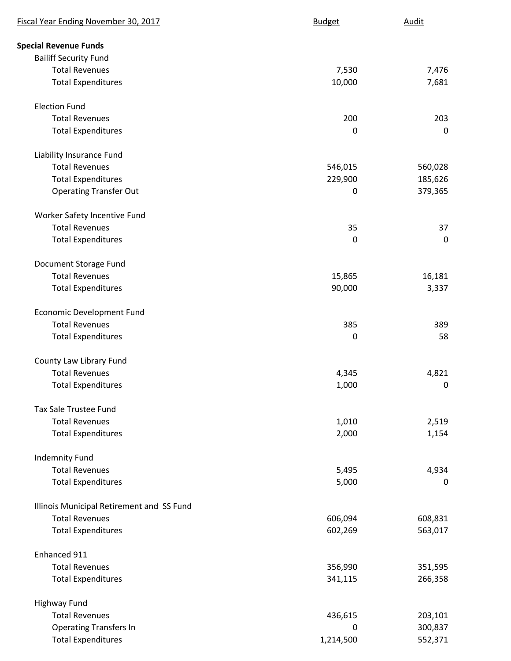| Fiscal Year Ending November 30, 2017      | <b>Budget</b> | Audit       |
|-------------------------------------------|---------------|-------------|
| <b>Special Revenue Funds</b>              |               |             |
| <b>Bailiff Security Fund</b>              |               |             |
| <b>Total Revenues</b>                     | 7,530         | 7,476       |
| <b>Total Expenditures</b>                 | 10,000        | 7,681       |
| <b>Election Fund</b>                      |               |             |
| <b>Total Revenues</b>                     | 200           | 203         |
| <b>Total Expenditures</b>                 | 0             | $\pmb{0}$   |
| Liability Insurance Fund                  |               |             |
| <b>Total Revenues</b>                     | 546,015       | 560,028     |
| <b>Total Expenditures</b>                 | 229,900       | 185,626     |
| <b>Operating Transfer Out</b>             | 0             | 379,365     |
| Worker Safety Incentive Fund              |               |             |
| <b>Total Revenues</b>                     | 35            | 37          |
| <b>Total Expenditures</b>                 | 0             | $\mathbf 0$ |
| Document Storage Fund                     |               |             |
| <b>Total Revenues</b>                     | 15,865        | 16,181      |
| <b>Total Expenditures</b>                 | 90,000        | 3,337       |
| <b>Economic Development Fund</b>          |               |             |
| <b>Total Revenues</b>                     | 385           | 389         |
| <b>Total Expenditures</b>                 | $\mathbf 0$   | 58          |
| County Law Library Fund                   |               |             |
| <b>Total Revenues</b>                     | 4,345         | 4,821       |
| <b>Total Expenditures</b>                 | 1,000         | 0           |
| <b>Tax Sale Trustee Fund</b>              |               |             |
| <b>Total Revenues</b>                     | 1,010         | 2,519       |
| <b>Total Expenditures</b>                 | 2,000         | 1,154       |
| <b>Indemnity Fund</b>                     |               |             |
| <b>Total Revenues</b>                     | 5,495         | 4,934       |
| <b>Total Expenditures</b>                 | 5,000         | 0           |
| Illinois Municipal Retirement and SS Fund |               |             |
| <b>Total Revenues</b>                     | 606,094       | 608,831     |
| <b>Total Expenditures</b>                 | 602,269       | 563,017     |
| Enhanced 911                              |               |             |
| <b>Total Revenues</b>                     | 356,990       | 351,595     |
| <b>Total Expenditures</b>                 | 341,115       | 266,358     |
| <b>Highway Fund</b>                       |               |             |
| <b>Total Revenues</b>                     | 436,615       | 203,101     |
| <b>Operating Transfers In</b>             | 0             | 300,837     |
| <b>Total Expenditures</b>                 | 1,214,500     | 552,371     |
|                                           |               |             |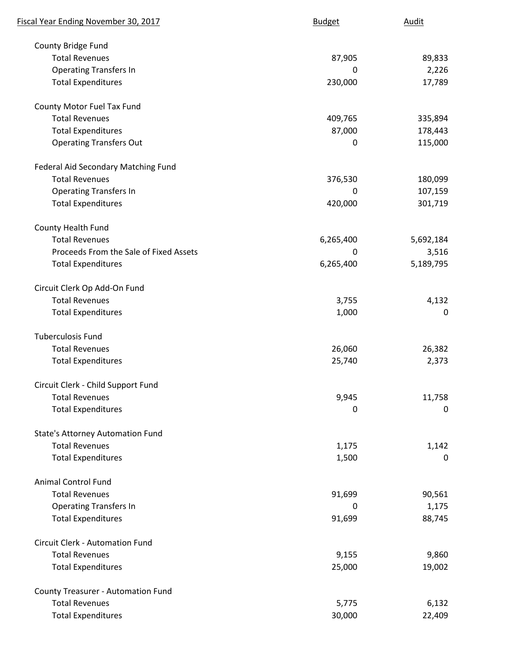| Fiscal Year Ending November 30, 2017      | <b>Budget</b> | <b>Audit</b> |
|-------------------------------------------|---------------|--------------|
| County Bridge Fund                        |               |              |
| <b>Total Revenues</b>                     | 87,905        | 89,833       |
| <b>Operating Transfers In</b>             | 0             | 2,226        |
| <b>Total Expenditures</b>                 | 230,000       | 17,789       |
| County Motor Fuel Tax Fund                |               |              |
| <b>Total Revenues</b>                     | 409,765       | 335,894      |
| <b>Total Expenditures</b>                 | 87,000        | 178,443      |
| <b>Operating Transfers Out</b>            | 0             | 115,000      |
| Federal Aid Secondary Matching Fund       |               |              |
| <b>Total Revenues</b>                     | 376,530       | 180,099      |
| <b>Operating Transfers In</b>             | 0             | 107,159      |
| <b>Total Expenditures</b>                 | 420,000       | 301,719      |
| County Health Fund                        |               |              |
| <b>Total Revenues</b>                     | 6,265,400     | 5,692,184    |
| Proceeds From the Sale of Fixed Assets    | 0             | 3,516        |
| <b>Total Expenditures</b>                 | 6,265,400     | 5,189,795    |
| Circuit Clerk Op Add-On Fund              |               |              |
| <b>Total Revenues</b>                     | 3,755         | 4,132        |
| <b>Total Expenditures</b>                 | 1,000         | $\mathbf 0$  |
| <b>Tuberculosis Fund</b>                  |               |              |
| <b>Total Revenues</b>                     | 26,060        | 26,382       |
| <b>Total Expenditures</b>                 | 25,740        | 2,373        |
| Circuit Clerk - Child Support Fund        |               |              |
| <b>Total Revenues</b>                     | 9,945         | 11,758       |
| <b>Total Expenditures</b>                 | 0             | 0            |
| <b>State's Attorney Automation Fund</b>   |               |              |
| <b>Total Revenues</b>                     | 1,175         | 1,142        |
| <b>Total Expenditures</b>                 | 1,500         | 0            |
| <b>Animal Control Fund</b>                |               |              |
| <b>Total Revenues</b>                     | 91,699        | 90,561       |
| <b>Operating Transfers In</b>             | 0             | 1,175        |
| <b>Total Expenditures</b>                 | 91,699        | 88,745       |
| Circuit Clerk - Automation Fund           |               |              |
| <b>Total Revenues</b>                     | 9,155         | 9,860        |
| <b>Total Expenditures</b>                 | 25,000        | 19,002       |
| <b>County Treasurer - Automation Fund</b> |               |              |
| <b>Total Revenues</b>                     | 5,775         | 6,132        |
| <b>Total Expenditures</b>                 | 30,000        | 22,409       |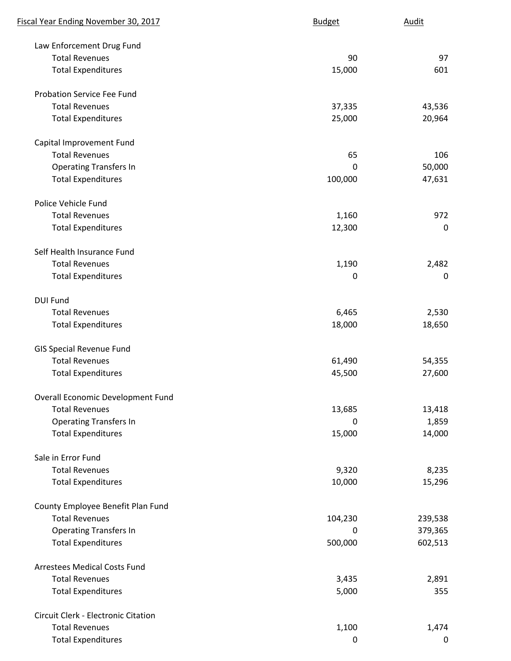| Fiscal Year Ending November 30, 2017 | <b>Budget</b> | Audit       |
|--------------------------------------|---------------|-------------|
| Law Enforcement Drug Fund            |               |             |
| <b>Total Revenues</b>                | 90            | 97          |
| <b>Total Expenditures</b>            | 15,000        | 601         |
| <b>Probation Service Fee Fund</b>    |               |             |
| <b>Total Revenues</b>                | 37,335        | 43,536      |
| <b>Total Expenditures</b>            | 25,000        | 20,964      |
| Capital Improvement Fund             |               |             |
| <b>Total Revenues</b>                | 65            | 106         |
| <b>Operating Transfers In</b>        | 0             | 50,000      |
| <b>Total Expenditures</b>            | 100,000       | 47,631      |
| Police Vehicle Fund                  |               |             |
| <b>Total Revenues</b>                | 1,160         | 972         |
| <b>Total Expenditures</b>            | 12,300        | $\mathbf 0$ |
| Self Health Insurance Fund           |               |             |
| <b>Total Revenues</b>                | 1,190         | 2,482       |
| <b>Total Expenditures</b>            | 0             | 0           |
| <b>DUI Fund</b>                      |               |             |
| <b>Total Revenues</b>                | 6,465         | 2,530       |
| <b>Total Expenditures</b>            | 18,000        | 18,650      |
| <b>GIS Special Revenue Fund</b>      |               |             |
| <b>Total Revenues</b>                | 61,490        | 54,355      |
| <b>Total Expenditures</b>            | 45,500        | 27,600      |
| Overall Economic Development Fund    |               |             |
| <b>Total Revenues</b>                | 13,685        | 13,418      |
| <b>Operating Transfers In</b>        | 0             | 1,859       |
| <b>Total Expenditures</b>            | 15,000        | 14,000      |
| Sale in Error Fund                   |               |             |
| <b>Total Revenues</b>                | 9,320         | 8,235       |
| <b>Total Expenditures</b>            | 10,000        | 15,296      |
| County Employee Benefit Plan Fund    |               |             |
| <b>Total Revenues</b>                | 104,230       | 239,538     |
| <b>Operating Transfers In</b>        | 0             | 379,365     |
| <b>Total Expenditures</b>            | 500,000       | 602,513     |
| <b>Arrestees Medical Costs Fund</b>  |               |             |
| <b>Total Revenues</b>                | 3,435         | 2,891       |
| <b>Total Expenditures</b>            | 5,000         | 355         |
| Circuit Clerk - Electronic Citation  |               |             |
| <b>Total Revenues</b>                | 1,100         | 1,474       |
| <b>Total Expenditures</b>            | 0             | $\mathbf 0$ |